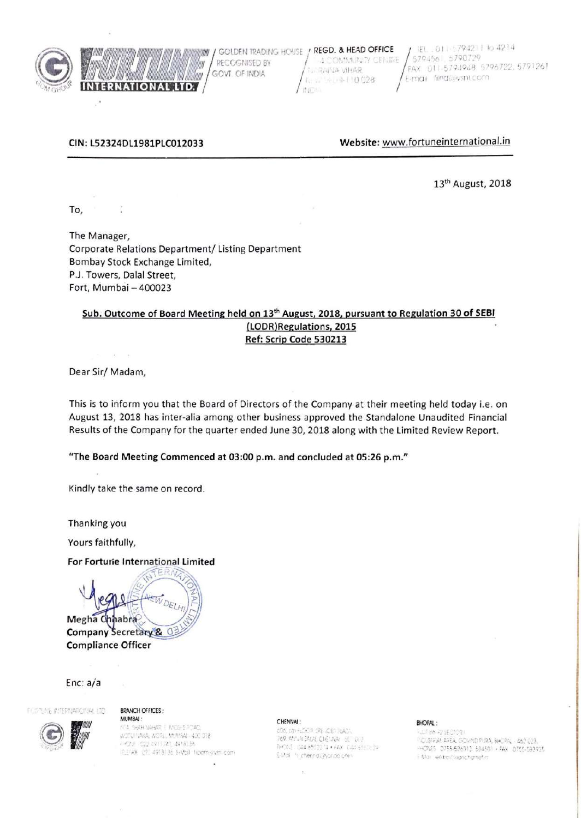

RECOGNISED BY lm GOVT. OF INDIA WW **INTERNATIONAL LTD.** 

GOLDEN TRADING HOUSE / REGD. & HEAD OFFICE -4 COMMUNITY CENTRE **SIAHIVA VIHAR** A. W. Sept 110 028 **INDE** 

EL.011-5794211 to 4214 5794561.5790729 FAX 011-5794948. 5796722, 5791261 F-max filmd@vsnLcom

## CIN: L52324DL1981PLC012033

Website: www.fortuneinternational.in

13<sup>th</sup> August, 2018

To,

The Manager, Corporate Relations Department/ Listing Department Bombay Stock Exchange Limited, P.J. Towers, Dalal Street, Fort, Mumbai - 400023

# Sub. Outcome of Board Meeting held on 13<sup>th</sup> August, 2018, pursuant to Regulation 30 of SEBI (LODR)Regulations, 2015 Ref: Scrip Code 530213

Dear Sir/Madam,

This is to inform you that the Board of Directors of the Company at their meeting held today i.e. on August 13, 2018 has inter-alia among other business approved the Standalone Unaudited Financial Results of the Company for the quarter ended June 30, 2018 along with the Limited Review Report.

"The Board Meeting Commenced at 03:00 p.m. and concluded at 05:26 p.m."

Kindly take the same on record.

Thanking you

Yours faithfully,

## For Fortune International Limited

Megha Chhabra Company Secretary &  $\circ$ **Compliance Officer** 

## Enc:  $a/a$

FORTUNE INTERNATIONAL LTD

#### **BRANCH OFFICES:** MUMBAI:

**CO SHARRAGE ANDERSTOAD** WORLFIAKA, WORL, MINISAL- 400 018 - ChE CDI 4911741, 4918136 IEEFAX (27) 4918136 E-Mail: hipom-svinticom

٠

#### CHENNAI:

606, 6th FLOCO SPE (CED PLAZA) 769 AM ALSALAL CHEVAN INTIQUE PHONE: IDA4 8592274 + AAX | CA4 85676 29 EMail in chering (Pyondo com-

#### BHOPAL:

**FLOT BIN R2 SECTOR I NOUSTRIAL AREA, GOVIND PURA, BHORNL 462 023.** HONES 0755-586313 584501 · FAX 0755-583935 EMail: elstro@aancharnetin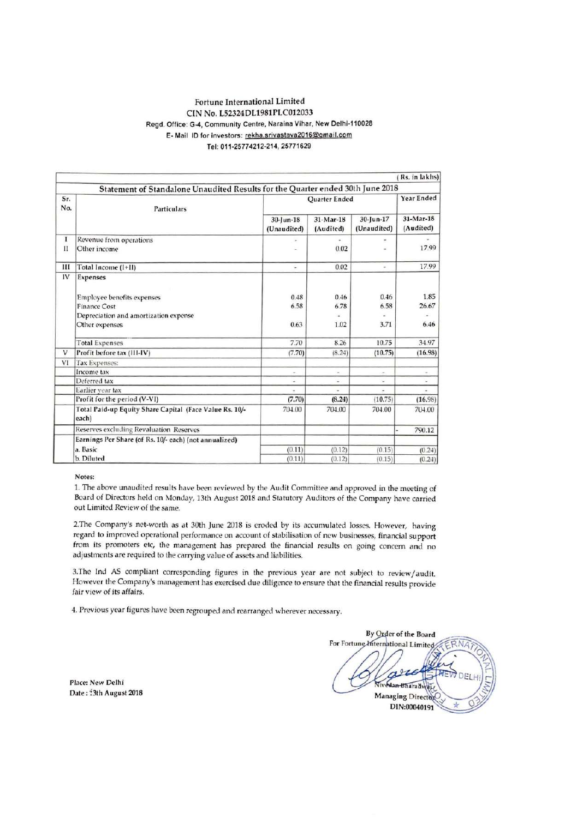## Fortune International Limited CIN No. L52324DL1981PLC012033 Regd. Office: G-4, Community Centre, Naraina Vihar, New Delhi-110028 E- Mail ID for investors: rekha.srivastava2016@gmail.com Tel: 011-25774212-214, 25771629

|            |                                                                                |                          |                        |                          | Rs. in lakhs)            |
|------------|--------------------------------------------------------------------------------|--------------------------|------------------------|--------------------------|--------------------------|
|            | Statement of Standalone Unaudited Results for the Quarter ended 30th June 2018 |                          |                        |                          |                          |
| Sr.<br>No. | <b>Particulars</b>                                                             | Quarter Ended            |                        |                          | Year Ended               |
|            |                                                                                | 30-Jun-18<br>(Unaudited) | 31-Mar-18<br>(Audited) | 30-Jun-17<br>(Unaudited) | 31-Mar-18<br>(Audited)   |
| 1          | Revenue from operations                                                        | $\pm$                    |                        |                          |                          |
| $_{II}$    | Other income                                                                   |                          | 0.02                   | ۰                        | 17.99                    |
| Ш          | Total Income (I+II)                                                            | $\overline{\phantom{a}}$ | 0.02                   | ÷                        | 17.99                    |
| IV         | <b>Expenses</b>                                                                |                          |                        |                          |                          |
|            | Employee benefits expenses                                                     | 0.48                     | 0.46                   | 0.46                     | 1.85                     |
|            | <b>Finance Cost</b>                                                            | 6.58                     | 6.78                   | 6.58                     | 26.67                    |
|            | Depreciation and amortization expense                                          |                          |                        |                          | $\sim$                   |
|            | Other expenses                                                                 | 0.63                     | 1.02                   | 3.71                     | 6.46                     |
|            | <b>Total Expenses</b>                                                          | 7.70                     | 8.26                   | 10.75                    | 34.97                    |
| V          | Profit before tax (III-IV)                                                     | (7.70)                   | (8.24)                 | (10.75)                  | (16.98)                  |
| VI         | Tax Expenses:                                                                  |                          |                        |                          |                          |
|            | Income tax                                                                     | $\scriptstyle\star$      | $\alpha$               | $\overline{\phantom{a}}$ | $\overline{\phantom{a}}$ |
|            | Deferred tax                                                                   | ٠                        | ÷.                     | w.                       | ٠                        |
|            | Earlier year tax                                                               | ä                        |                        |                          |                          |
|            | Profit for the period (V-VI)                                                   | (7.70)                   | (8.24)                 | (10.75)                  | (16.98)                  |
|            | Total Paid-up Equity Share Capital (Face Value Rs. 10/-<br>each)               | 704.00                   | 704.00                 | 704.00                   | 704.00                   |
|            | Reserves excluding Revaluation Reserves                                        |                          |                        |                          | 790.12                   |
|            | Earnings Per Share (of Rs. 10/- each) (not annualized)                         |                          |                        |                          |                          |
|            | a. Basic                                                                       | (0.11)                   | (0.12)                 | (0.15)                   | (0.24)                   |
|            | b. Diluted                                                                     | (0.11)                   | (0.12)                 | (0.15)                   | (0.24)                   |

Notes:

1. The above unaudited results have been reviewed by the Audit Committee and approved in the meeting of Board of Directors held on Monday, 13th August 2018 and Statutory Auditors of the Company have carried out Limited Review of the same.

2. The Company's net-worth as at 30th June 2018 is eroded by its accumulated losses. However, having regard to improved operational performance on account of stabilisation of new businesses, financial support from its promoters etc, the management has prepared the financial results on going concern and no adjustments are required to the carrying value of assets and liabilities.

3. The Ind AS compliant corresponding figures in the previous year are not subject to review/audit. However the Company's management has exercised due diligence to ensure that the financial results provide fair view of its affairs.

4. Previous year figures have been regrouped and rearranged wherever necessary.

Place: New Delhi Date: : 3th August 2018

By Order of the Board For Fortune International Limited **Bharadwai Managing Director** DIN:00040191